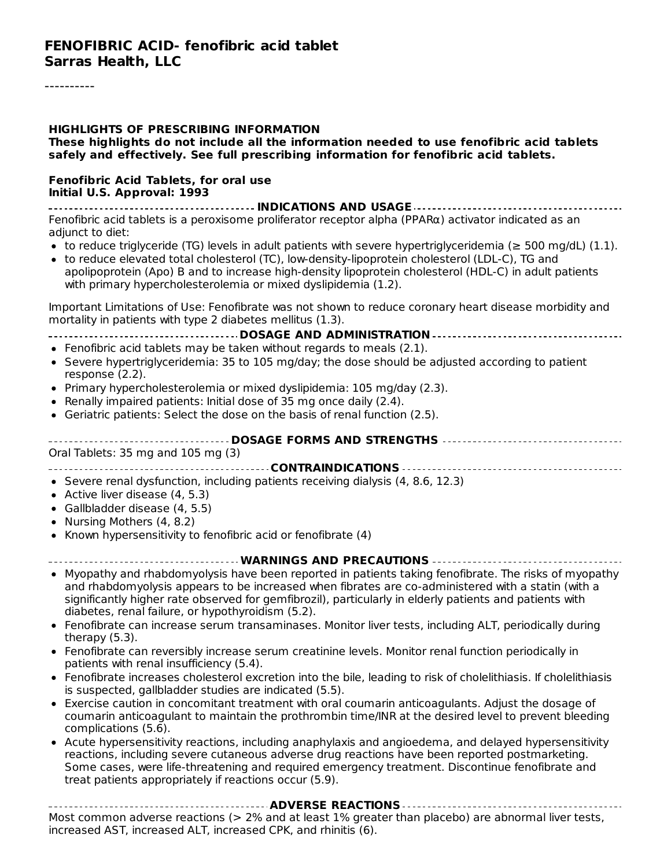#### **HIGHLIGHTS OF PRESCRIBING INFORMATION These highlights do not include all the information needed to use fenofibric acid tablets safely and effectively. See full prescribing information for fenofibric acid tablets. Fenofibric Acid Tablets, for oral use Initial U.S. Approval: 1993 INDICATIONS AND USAGE** Fenofibric acid tablets is a peroxisome proliferator receptor alpha (PPARα) activator indicated as an adjunct to diet: • to reduce triglyceride (TG) levels in adult patients with severe hypertriglyceridemia ( $\geq$  500 mg/dL) (1.1). to reduce elevated total cholesterol (TC), low-density-lipoprotein cholesterol (LDL-C), TG and apolipoprotein (Apo) B and to increase high-density lipoprotein cholesterol (HDL-C) in adult patients with primary hypercholesterolemia or mixed dyslipidemia (1.2). Important Limitations of Use: Fenofibrate was not shown to reduce coronary heart disease morbidity and mortality in patients with type 2 diabetes mellitus (1.3). **DOSAGE AND ADMINISTRATION** Fenofibric acid tablets may be taken without regards to meals (2.1). • Severe hypertriglyceridemia: 35 to 105 mg/day; the dose should be adjusted according to patient response (2.2). Primary hypercholesterolemia or mixed dyslipidemia: 105 mg/day (2.3). Renally impaired patients: Initial dose of 35 mg once daily (2.4). Geriatric patients: Select the dose on the basis of renal function  $(2.5)$ . **DOSAGE FORMS AND STRENGTHS** Oral Tablets: 35 mg and 105 mg (3) **CONTRAINDICATIONS**  $\bullet$  Severe renal dysfunction, including patients receiving dialysis (4, 8.6, 12.3) • Active liver disease (4, 5.3) Gallbladder disease (4, 5.5) • Nursing Mothers (4, 8.2) • Known hypersensitivity to fenofibric acid or fenofibrate  $(4)$ **WARNINGS AND PRECAUTIONS** Myopathy and rhabdomyolysis have been reported in patients taking fenofibrate. The risks of myopathy and rhabdomyolysis appears to be increased when fibrates are co-administered with a statin (with a significantly higher rate observed for gemfibrozil), particularly in elderly patients and patients with diabetes, renal failure, or hypothyroidism (5.2). Fenofibrate can increase serum transaminases. Monitor liver tests, including ALT, periodically during therapy (5.3). Fenofibrate can reversibly increase serum creatinine levels. Monitor renal function periodically in patients with renal insufficiency (5.4). Fenofibrate increases cholesterol excretion into the bile, leading to risk of cholelithiasis. If cholelithiasis is suspected, gallbladder studies are indicated (5.5). Exercise caution in concomitant treatment with oral coumarin anticoagulants. Adjust the dosage of coumarin anticoagulant to maintain the prothrombin time/INR at the desired level to prevent bleeding complications (5.6).

Acute hypersensitivity reactions, including anaphylaxis and angioedema, and delayed hypersensitivity reactions, including severe cutaneous adverse drug reactions have been reported postmarketing. Some cases, were life-threatening and required emergency treatment. Discontinue fenofibrate and treat patients appropriately if reactions occur (5.9).

**ADVERSE REACTIONS** Most common adverse reactions (> 2% and at least 1% greater than placebo) are abnormal liver tests, increased AST, increased ALT, increased CPK, and rhinitis (6).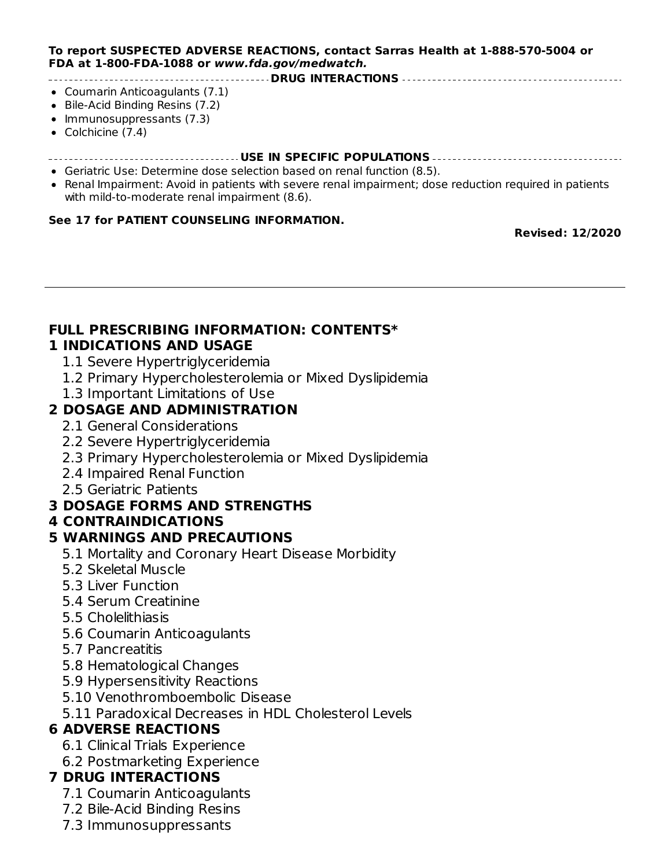#### **To report SUSPECTED ADVERSE REACTIONS, contact Sarras Health at 1-888-570-5004 or FDA at 1-800-FDA-1088 or www.fda.gov/medwatch.**

#### **DRUG INTERACTIONS**

- Coumarin Anticoagulants (7.1)
- Bile-Acid Binding Resins (7.2)
- Immunosuppressants (7.3)
- Colchicine (7.4)
- **USE IN SPECIFIC POPULATIONS**
- Geriatric Use: Determine dose selection based on renal function (8.5).
- Renal Impairment: Avoid in patients with severe renal impairment; dose reduction required in patients with mild-to-moderate renal impairment (8.6).

#### **See 17 for PATIENT COUNSELING INFORMATION.**

increased AST, increased ALT, increased CPK, and rhinitis (6).

#### **Revised: 12/2020**

#### **FULL PRESCRIBING INFORMATION: CONTENTS\* 1 INDICATIONS AND USAGE**

- 1.1 Severe Hypertriglyceridemia
- 1.2 Primary Hypercholesterolemia or Mixed Dyslipidemia
- 1.3 Important Limitations of Use

#### **2 DOSAGE AND ADMINISTRATION**

- 2.1 General Considerations
- 2.2 Severe Hypertriglyceridemia
- 2.3 Primary Hypercholesterolemia or Mixed Dyslipidemia
- 2.4 Impaired Renal Function
- 2.5 Geriatric Patients

#### **3 DOSAGE FORMS AND STRENGTHS**

#### **4 CONTRAINDICATIONS**

#### **5 WARNINGS AND PRECAUTIONS**

- 5.1 Mortality and Coronary Heart Disease Morbidity
- 5.2 Skeletal Muscle
- 5.3 Liver Function
- 5.4 Serum Creatinine
- 5.5 Cholelithiasis
- 5.6 Coumarin Anticoagulants
- 5.7 Pancreatitis
- 5.8 Hematological Changes
- 5.9 Hypersensitivity Reactions
- 5.10 Venothromboembolic Disease
- 5.11 Paradoxical Decreases in HDL Cholesterol Levels

#### **6 ADVERSE REACTIONS**

- 6.1 Clinical Trials Experience
- 6.2 Postmarketing Experience

#### **7 DRUG INTERACTIONS**

- 7.1 Coumarin Anticoagulants
- 7.2 Bile-Acid Binding Resins
- 7.3 Immunosuppressants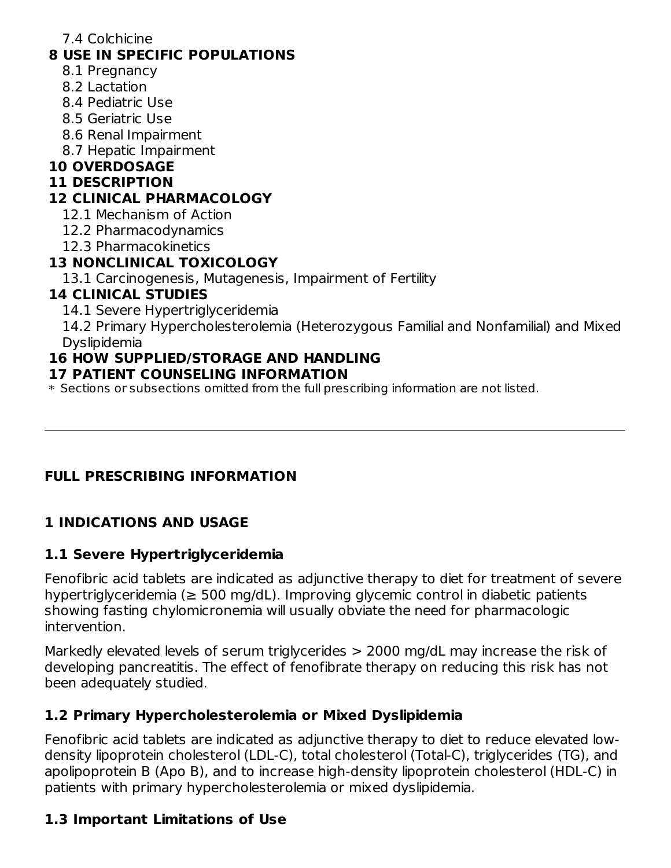7.4 Colchicine

#### **8 USE IN SPECIFIC POPULATIONS**

- 8.1 Pregnancy
- 8.2 Lactation
- 8.4 Pediatric Use
- 8.5 Geriatric Use
- 8.6 Renal Impairment
- 8.7 Hepatic Impairment

#### **10 OVERDOSAGE**

#### **11 DESCRIPTION**

#### **12 CLINICAL PHARMACOLOGY**

12.1 Mechanism of Action

- 12.2 Pharmacodynamics
- 12.3 Pharmacokinetics

#### **13 NONCLINICAL TOXICOLOGY**

13.1 Carcinogenesis, Mutagenesis, Impairment of Fertility

#### **14 CLINICAL STUDIES**

14.1 Severe Hypertriglyceridemia

14.2 Primary Hypercholesterolemia (Heterozygous Familial and Nonfamilial) and Mixed Dyslipidemia

#### **16 HOW SUPPLIED/STORAGE AND HANDLING**

#### **17 PATIENT COUNSELING INFORMATION**

\* Sections or subsections omitted from the full prescribing information are not listed.

#### **FULL PRESCRIBING INFORMATION**

#### **1 INDICATIONS AND USAGE**

#### **1.1 Severe Hypertriglyceridemia**

Fenofibric acid tablets are indicated as adjunctive therapy to diet for treatment of severe hypertriglyceridemia (≥ 500 mg/dL). Improving glycemic control in diabetic patients showing fasting chylomicronemia will usually obviate the need for pharmacologic intervention.

Markedly elevated levels of serum triglycerides > 2000 mg/dL may increase the risk of developing pancreatitis. The effect of fenofibrate therapy on reducing this risk has not been adequately studied.

#### **1.2 Primary Hypercholesterolemia or Mixed Dyslipidemia**

Fenofibric acid tablets are indicated as adjunctive therapy to diet to reduce elevated lowdensity lipoprotein cholesterol (LDL-C), total cholesterol (Total-C), triglycerides (TG), and apolipoprotein B (Apo B), and to increase high-density lipoprotein cholesterol (HDL-C) in patients with primary hypercholesterolemia or mixed dyslipidemia.

#### **1.3 Important Limitations of Use**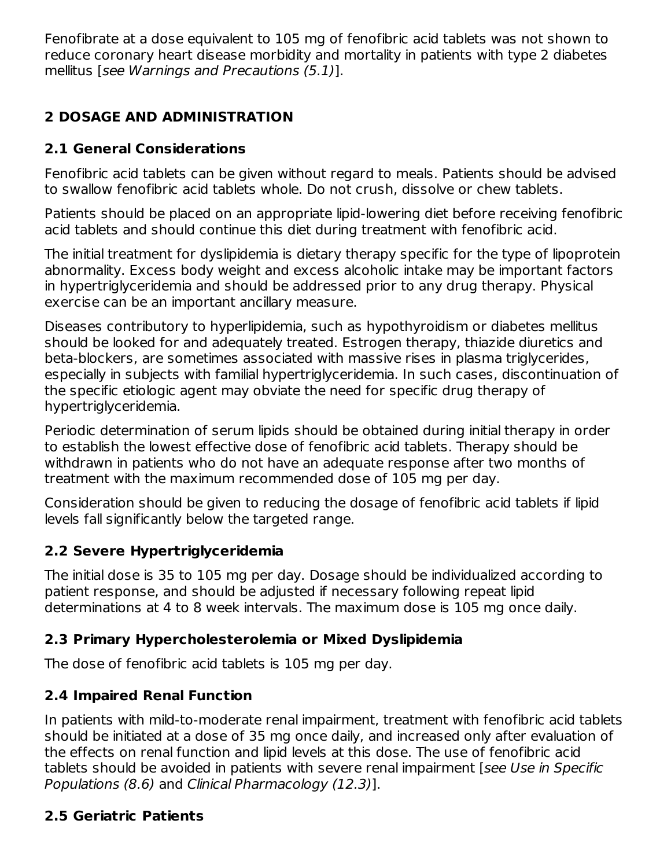Fenofibrate at a dose equivalent to 105 mg of fenofibric acid tablets was not shown to reduce coronary heart disease morbidity and mortality in patients with type 2 diabetes mellitus [see Warnings and Precautions (5.1)].

## **2 DOSAGE AND ADMINISTRATION**

### **2.1 General Considerations**

Fenofibric acid tablets can be given without regard to meals. Patients should be advised to swallow fenofibric acid tablets whole. Do not crush, dissolve or chew tablets.

Patients should be placed on an appropriate lipid-lowering diet before receiving fenofibric acid tablets and should continue this diet during treatment with fenofibric acid.

The initial treatment for dyslipidemia is dietary therapy specific for the type of lipoprotein abnormality. Excess body weight and excess alcoholic intake may be important factors in hypertriglyceridemia and should be addressed prior to any drug therapy. Physical exercise can be an important ancillary measure.

Diseases contributory to hyperlipidemia, such as hypothyroidism or diabetes mellitus should be looked for and adequately treated. Estrogen therapy, thiazide diuretics and beta-blockers, are sometimes associated with massive rises in plasma triglycerides, especially in subjects with familial hypertriglyceridemia. In such cases, discontinuation of the specific etiologic agent may obviate the need for specific drug therapy of hypertriglyceridemia.

Periodic determination of serum lipids should be obtained during initial therapy in order to establish the lowest effective dose of fenofibric acid tablets. Therapy should be withdrawn in patients who do not have an adequate response after two months of treatment with the maximum recommended dose of 105 mg per day.

Consideration should be given to reducing the dosage of fenofibric acid tablets if lipid levels fall significantly below the targeted range.

### **2.2 Severe Hypertriglyceridemia**

The initial dose is 35 to 105 mg per day. Dosage should be individualized according to patient response, and should be adjusted if necessary following repeat lipid determinations at 4 to 8 week intervals. The maximum dose is 105 mg once daily.

### **2.3 Primary Hypercholesterolemia or Mixed Dyslipidemia**

The dose of fenofibric acid tablets is 105 mg per day.

## **2.4 Impaired Renal Function**

In patients with mild-to-moderate renal impairment, treatment with fenofibric acid tablets should be initiated at a dose of 35 mg once daily, and increased only after evaluation of the effects on renal function and lipid levels at this dose. The use of fenofibric acid tablets should be avoided in patients with severe renal impairment [see Use in Specific Populations (8.6) and Clinical Pharmacology (12.3)].

### **2.5 Geriatric Patients**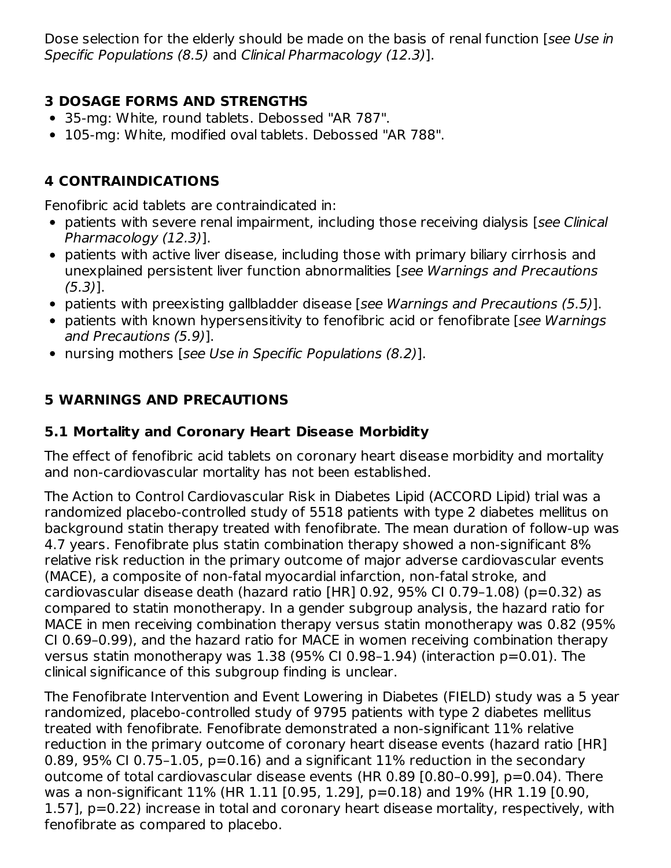Dose selection for the elderly should be made on the basis of renal function [see Use in Specific Populations (8.5) and Clinical Pharmacology (12.3)].

#### **3 DOSAGE FORMS AND STRENGTHS**

- 35-mg: White, round tablets. Debossed "AR 787".
- 105-mg: White, modified oval tablets. Debossed "AR 788".

### **4 CONTRAINDICATIONS**

Fenofibric acid tablets are contraindicated in:

- patients with severe renal impairment, including those receiving dialysis [see Clinical Pharmacology (12.3)].
- patients with active liver disease, including those with primary biliary cirrhosis and unexplained persistent liver function abnormalities [see Warnings and Precautions (5.3)].
- patients with preexisting gallbladder disease [see Warnings and Precautions (5.5)].
- patients with known hypersensitivity to fenofibric acid or fenofibrate [see Warnings] and Precautions (5.9)].
- nursing mothers [see Use in Specific Populations (8.2)].

## **5 WARNINGS AND PRECAUTIONS**

#### **5.1 Mortality and Coronary Heart Disease Morbidity**

The effect of fenofibric acid tablets on coronary heart disease morbidity and mortality and non-cardiovascular mortality has not been established.

The Action to Control Cardiovascular Risk in Diabetes Lipid (ACCORD Lipid) trial was a randomized placebo-controlled study of 5518 patients with type 2 diabetes mellitus on background statin therapy treated with fenofibrate. The mean duration of follow-up was 4.7 years. Fenofibrate plus statin combination therapy showed a non-significant 8% relative risk reduction in the primary outcome of major adverse cardiovascular events (MACE), a composite of non-fatal myocardial infarction, non-fatal stroke, and cardiovascular disease death (hazard ratio [HR] 0.92, 95% CI 0.79–1.08) (p=0.32) as compared to statin monotherapy. In a gender subgroup analysis, the hazard ratio for MACE in men receiving combination therapy versus statin monotherapy was 0.82 (95% CI 0.69–0.99), and the hazard ratio for MACE in women receiving combination therapy versus statin monotherapy was 1.38 (95% CI 0.98–1.94) (interaction p=0.01). The clinical significance of this subgroup finding is unclear.

The Fenofibrate Intervention and Event Lowering in Diabetes (FIELD) study was a 5 year randomized, placebo-controlled study of 9795 patients with type 2 diabetes mellitus treated with fenofibrate. Fenofibrate demonstrated a non-significant 11% relative reduction in the primary outcome of coronary heart disease events (hazard ratio [HR] 0.89, 95% CI 0.75-1.05,  $p=0.16$ ) and a significant 11% reduction in the secondary outcome of total cardiovascular disease events (HR 0.89 [0.80–0.99], p=0.04). There was a non-significant 11% (HR 1.11 [0.95, 1.29], p=0.18) and 19% (HR 1.19 [0.90, 1.57], p=0.22) increase in total and coronary heart disease mortality, respectively, with fenofibrate as compared to placebo.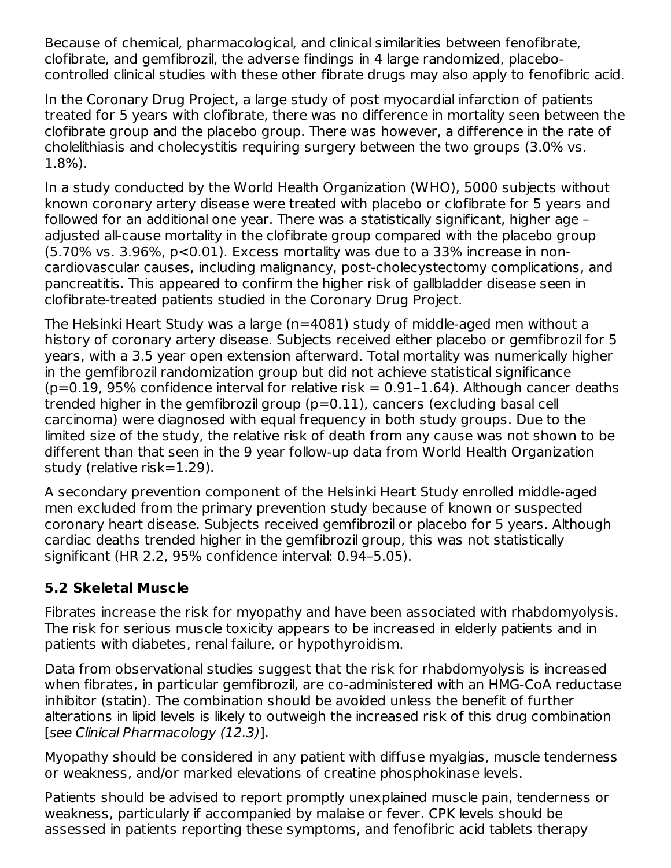Because of chemical, pharmacological, and clinical similarities between fenofibrate, clofibrate, and gemfibrozil, the adverse findings in 4 large randomized, placebocontrolled clinical studies with these other fibrate drugs may also apply to fenofibric acid.

In the Coronary Drug Project, a large study of post myocardial infarction of patients treated for 5 years with clofibrate, there was no difference in mortality seen between the clofibrate group and the placebo group. There was however, a difference in the rate of cholelithiasis and cholecystitis requiring surgery between the two groups (3.0% vs. 1.8%).

In a study conducted by the World Health Organization (WHO), 5000 subjects without known coronary artery disease were treated with placebo or clofibrate for 5 years and followed for an additional one year. There was a statistically significant, higher age – adjusted all-cause mortality in the clofibrate group compared with the placebo group (5.70% vs. 3.96%, p<0.01). Excess mortality was due to a 33% increase in noncardiovascular causes, including malignancy, post-cholecystectomy complications, and pancreatitis. This appeared to confirm the higher risk of gallbladder disease seen in clofibrate-treated patients studied in the Coronary Drug Project.

The Helsinki Heart Study was a large (n=4081) study of middle-aged men without a history of coronary artery disease. Subjects received either placebo or gemfibrozil for 5 years, with a 3.5 year open extension afterward. Total mortality was numerically higher in the gemfibrozil randomization group but did not achieve statistical significance  $(p=0.19, 95\%$  confidence interval for relative risk = 0.91-1.64). Although cancer deaths trended higher in the gemfibrozil group (p=0.11), cancers (excluding basal cell carcinoma) were diagnosed with equal frequency in both study groups. Due to the limited size of the study, the relative risk of death from any cause was not shown to be different than that seen in the 9 year follow-up data from World Health Organization study (relative risk=1.29).

A secondary prevention component of the Helsinki Heart Study enrolled middle-aged men excluded from the primary prevention study because of known or suspected coronary heart disease. Subjects received gemfibrozil or placebo for 5 years. Although cardiac deaths trended higher in the gemfibrozil group, this was not statistically significant (HR 2.2, 95% confidence interval: 0.94–5.05).

#### **5.2 Skeletal Muscle**

Fibrates increase the risk for myopathy and have been associated with rhabdomyolysis. The risk for serious muscle toxicity appears to be increased in elderly patients and in patients with diabetes, renal failure, or hypothyroidism.

Data from observational studies suggest that the risk for rhabdomyolysis is increased when fibrates, in particular gemfibrozil, are co-administered with an HMG-CoA reductase inhibitor (statin). The combination should be avoided unless the benefit of further alterations in lipid levels is likely to outweigh the increased risk of this drug combination [see Clinical Pharmacology (12.3)].

Myopathy should be considered in any patient with diffuse myalgias, muscle tenderness or weakness, and/or marked elevations of creatine phosphokinase levels.

Patients should be advised to report promptly unexplained muscle pain, tenderness or weakness, particularly if accompanied by malaise or fever. CPK levels should be assessed in patients reporting these symptoms, and fenofibric acid tablets therapy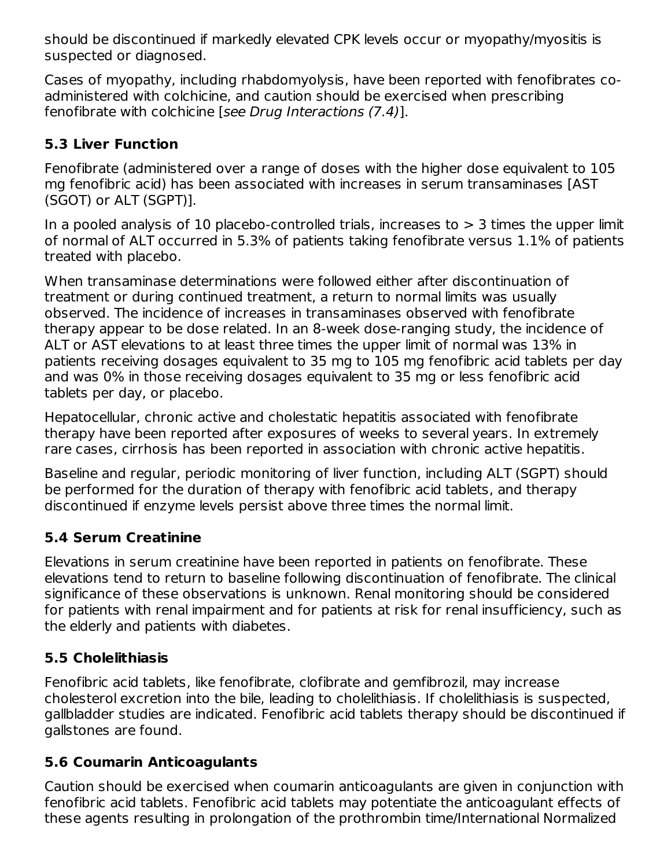should be discontinued if markedly elevated CPK levels occur or myopathy/myositis is suspected or diagnosed.

Cases of myopathy, including rhabdomyolysis, have been reported with fenofibrates coadministered with colchicine, and caution should be exercised when prescribing fenofibrate with colchicine [see Drug Interactions (7.4)].

#### **5.3 Liver Function**

Fenofibrate (administered over a range of doses with the higher dose equivalent to 105 mg fenofibric acid) has been associated with increases in serum transaminases [AST (SGOT) or ALT (SGPT)].

In a pooled analysis of 10 placebo-controlled trials, increases to  $>$  3 times the upper limit of normal of ALT occurred in 5.3% of patients taking fenofibrate versus 1.1% of patients treated with placebo.

When transaminase determinations were followed either after discontinuation of treatment or during continued treatment, a return to normal limits was usually observed. The incidence of increases in transaminases observed with fenofibrate therapy appear to be dose related. In an 8-week dose-ranging study, the incidence of ALT or AST elevations to at least three times the upper limit of normal was 13% in patients receiving dosages equivalent to 35 mg to 105 mg fenofibric acid tablets per day and was 0% in those receiving dosages equivalent to 35 mg or less fenofibric acid tablets per day, or placebo.

Hepatocellular, chronic active and cholestatic hepatitis associated with fenofibrate therapy have been reported after exposures of weeks to several years. In extremely rare cases, cirrhosis has been reported in association with chronic active hepatitis.

Baseline and regular, periodic monitoring of liver function, including ALT (SGPT) should be performed for the duration of therapy with fenofibric acid tablets, and therapy discontinued if enzyme levels persist above three times the normal limit.

### **5.4 Serum Creatinine**

Elevations in serum creatinine have been reported in patients on fenofibrate. These elevations tend to return to baseline following discontinuation of fenofibrate. The clinical significance of these observations is unknown. Renal monitoring should be considered for patients with renal impairment and for patients at risk for renal insufficiency, such as the elderly and patients with diabetes.

## **5.5 Cholelithiasis**

Fenofibric acid tablets, like fenofibrate, clofibrate and gemfibrozil, may increase cholesterol excretion into the bile, leading to cholelithiasis. If cholelithiasis is suspected, gallbladder studies are indicated. Fenofibric acid tablets therapy should be discontinued if gallstones are found.

### **5.6 Coumarin Anticoagulants**

Caution should be exercised when coumarin anticoagulants are given in conjunction with fenofibric acid tablets. Fenofibric acid tablets may potentiate the anticoagulant effects of these agents resulting in prolongation of the prothrombin time/International Normalized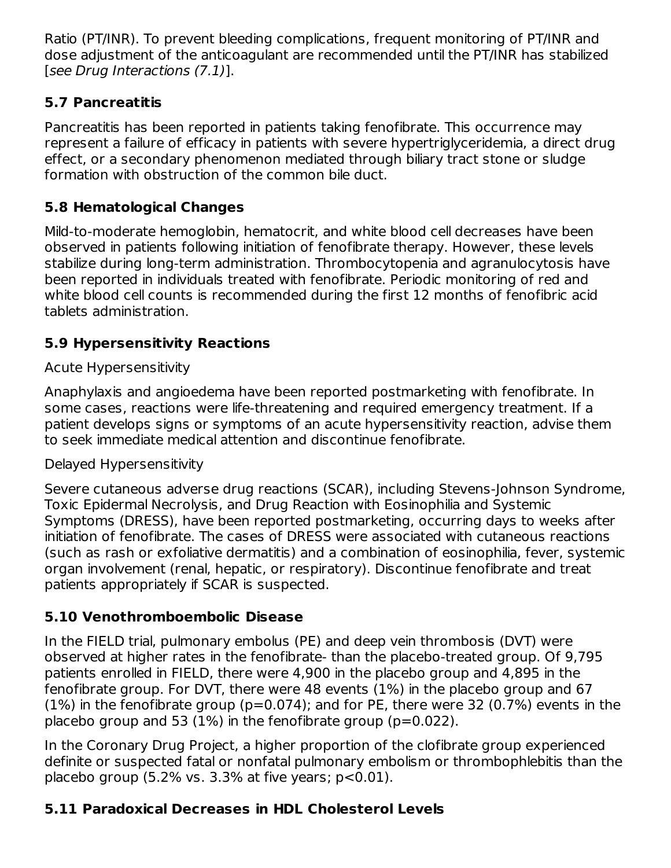Ratio (PT/INR). To prevent bleeding complications, frequent monitoring of PT/INR and dose adjustment of the anticoagulant are recommended until the PT/INR has stabilized [see Drug Interactions (7.1)].

### **5.7 Pancreatitis**

Pancreatitis has been reported in patients taking fenofibrate. This occurrence may represent a failure of efficacy in patients with severe hypertriglyceridemia, a direct drug effect, or a secondary phenomenon mediated through biliary tract stone or sludge formation with obstruction of the common bile duct.

### **5.8 Hematological Changes**

Mild-to-moderate hemoglobin, hematocrit, and white blood cell decreases have been observed in patients following initiation of fenofibrate therapy. However, these levels stabilize during long-term administration. Thrombocytopenia and agranulocytosis have been reported in individuals treated with fenofibrate. Periodic monitoring of red and white blood cell counts is recommended during the first 12 months of fenofibric acid tablets administration.

## **5.9 Hypersensitivity Reactions**

### Acute Hypersensitivity

Anaphylaxis and angioedema have been reported postmarketing with fenofibrate. In some cases, reactions were life-threatening and required emergency treatment. If a patient develops signs or symptoms of an acute hypersensitivity reaction, advise them to seek immediate medical attention and discontinue fenofibrate.

#### Delayed Hypersensitivity

Severe cutaneous adverse drug reactions (SCAR), including Stevens-Johnson Syndrome, Toxic Epidermal Necrolysis, and Drug Reaction with Eosinophilia and Systemic Symptoms (DRESS), have been reported postmarketing, occurring days to weeks after initiation of fenofibrate. The cases of DRESS were associated with cutaneous reactions (such as rash or exfoliative dermatitis) and a combination of eosinophilia, fever, systemic organ involvement (renal, hepatic, or respiratory). Discontinue fenofibrate and treat patients appropriately if SCAR is suspected.

### **5.10 Venothromboembolic Disease**

In the FIELD trial, pulmonary embolus (PE) and deep vein thrombosis (DVT) were observed at higher rates in the fenofibrate- than the placebo-treated group. Of 9,795 patients enrolled in FIELD, there were 4,900 in the placebo group and 4,895 in the fenofibrate group. For DVT, there were 48 events (1%) in the placebo group and 67  $(1%)$  in the fenofibrate group ( $p=0.074$ ); and for PE, there were 32 (0.7%) events in the placebo group and 53 (1%) in the fenofibrate group ( $p=0.022$ ).

In the Coronary Drug Project, a higher proportion of the clofibrate group experienced definite or suspected fatal or nonfatal pulmonary embolism or thrombophlebitis than the placebo group  $(5.2\% \text{ vs. } 3.3\% \text{ at five years}; \text{ p} < 0.01).$ 

## **5.11 Paradoxical Decreases in HDL Cholesterol Levels**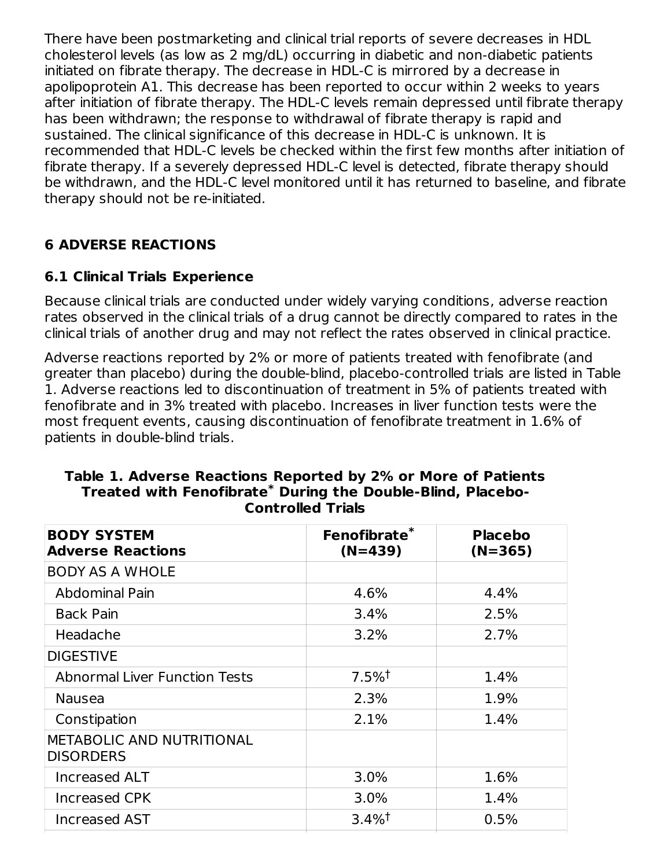There have been postmarketing and clinical trial reports of severe decreases in HDL cholesterol levels (as low as 2 mg/dL) occurring in diabetic and non-diabetic patients initiated on fibrate therapy. The decrease in HDL-C is mirrored by a decrease in apolipoprotein A1. This decrease has been reported to occur within 2 weeks to years after initiation of fibrate therapy. The HDL-C levels remain depressed until fibrate therapy has been withdrawn; the response to withdrawal of fibrate therapy is rapid and sustained. The clinical significance of this decrease in HDL-C is unknown. It is recommended that HDL-C levels be checked within the first few months after initiation of fibrate therapy. If a severely depressed HDL-C level is detected, fibrate therapy should be withdrawn, and the HDL-C level monitored until it has returned to baseline, and fibrate therapy should not be re-initiated.

#### **6 ADVERSE REACTIONS**

#### **6.1 Clinical Trials Experience**

Because clinical trials are conducted under widely varying conditions, adverse reaction rates observed in the clinical trials of a drug cannot be directly compared to rates in the clinical trials of another drug and may not reflect the rates observed in clinical practice.

Adverse reactions reported by 2% or more of patients treated with fenofibrate (and greater than placebo) during the double-blind, placebo-controlled trials are listed in Table 1. Adverse reactions led to discontinuation of treatment in 5% of patients treated with fenofibrate and in 3% treated with placebo. Increases in liver function tests were the most frequent events, causing discontinuation of fenofibrate treatment in 1.6% of patients in double-blind trials.

| <b>BODY SYSTEM</b><br><b>Adverse Reactions</b>       | Fenofibrate*<br>$(N=439)$ | <b>Placebo</b><br>$(N=365)$ |
|------------------------------------------------------|---------------------------|-----------------------------|
| <b>BODY AS A WHOLE</b>                               |                           |                             |
| <b>Abdominal Pain</b>                                | 4.6%                      | 4.4%                        |
| <b>Back Pain</b>                                     | 3.4%                      | 2.5%                        |
| Headache                                             | 3.2%                      | 2.7%                        |
| <b>DIGESTIVE</b>                                     |                           |                             |
| <b>Abnormal Liver Function Tests</b>                 | $7.5\%$ <sup>†</sup>      | 1.4%                        |
| <b>Nausea</b>                                        | 2.3%                      | 1.9%                        |
| Constipation                                         | 2.1%                      | 1.4%                        |
| <b>METABOLIC AND NUTRITIONAL</b><br><b>DISORDERS</b> |                           |                             |
| <b>Increased ALT</b>                                 | 3.0%                      | 1.6%                        |
| Increased CPK                                        | 3.0%                      | 1.4%                        |
| Increased AST                                        | $3.4\%$ <sup>†</sup>      | 0.5%                        |

#### **Table 1. Adverse Reactions Reported by 2% or More of Patients Treated with Fenofibrate During the Double-Blind, Placebo-\* Controlled Trials**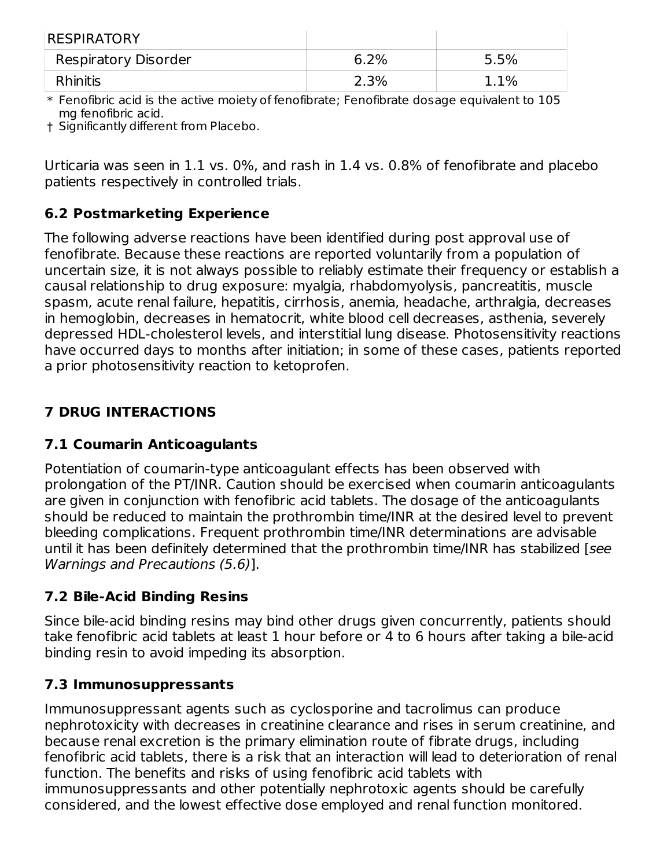| <b>RESPIRATORY</b>   |         |      |
|----------------------|---------|------|
| Respiratory Disorder | $6.2\%$ | 5.5% |
| <b>Rhinitis</b>      | 2.3%    | 1.1% |

\* Fenofibric acid is the active moiety of fenofibrate; Fenofibrate dosage equivalent to 105 mg fenofibric acid.

† Significantly different from Placebo.

Urticaria was seen in 1.1 vs. 0%, and rash in 1.4 vs. 0.8% of fenofibrate and placebo patients respectively in controlled trials.

#### **6.2 Postmarketing Experience**

The following adverse reactions have been identified during post approval use of fenofibrate. Because these reactions are reported voluntarily from a population of uncertain size, it is not always possible to reliably estimate their frequency or establish a causal relationship to drug exposure: myalgia, rhabdomyolysis, pancreatitis, muscle spasm, acute renal failure, hepatitis, cirrhosis, anemia, headache, arthralgia, decreases in hemoglobin, decreases in hematocrit, white blood cell decreases, asthenia, severely depressed HDL-cholesterol levels, and interstitial lung disease. Photosensitivity reactions have occurred days to months after initiation; in some of these cases, patients reported a prior photosensitivity reaction to ketoprofen.

### **7 DRUG INTERACTIONS**

#### **7.1 Coumarin Anticoagulants**

Potentiation of coumarin-type anticoagulant effects has been observed with prolongation of the PT/INR. Caution should be exercised when coumarin anticoagulants are given in conjunction with fenofibric acid tablets. The dosage of the anticoagulants should be reduced to maintain the prothrombin time/INR at the desired level to prevent bleeding complications. Frequent prothrombin time/INR determinations are advisable until it has been definitely determined that the prothrombin time/INR has stabilized [see Warnings and Precautions (5.6)].

### **7.2 Bile-Acid Binding Resins**

Since bile-acid binding resins may bind other drugs given concurrently, patients should take fenofibric acid tablets at least 1 hour before or 4 to 6 hours after taking a bile-acid binding resin to avoid impeding its absorption.

### **7.3 Immunosuppressants**

Immunosuppressant agents such as cyclosporine and tacrolimus can produce nephrotoxicity with decreases in creatinine clearance and rises in serum creatinine, and because renal excretion is the primary elimination route of fibrate drugs, including fenofibric acid tablets, there is a risk that an interaction will lead to deterioration of renal function. The benefits and risks of using fenofibric acid tablets with immunosuppressants and other potentially nephrotoxic agents should be carefully considered, and the lowest effective dose employed and renal function monitored.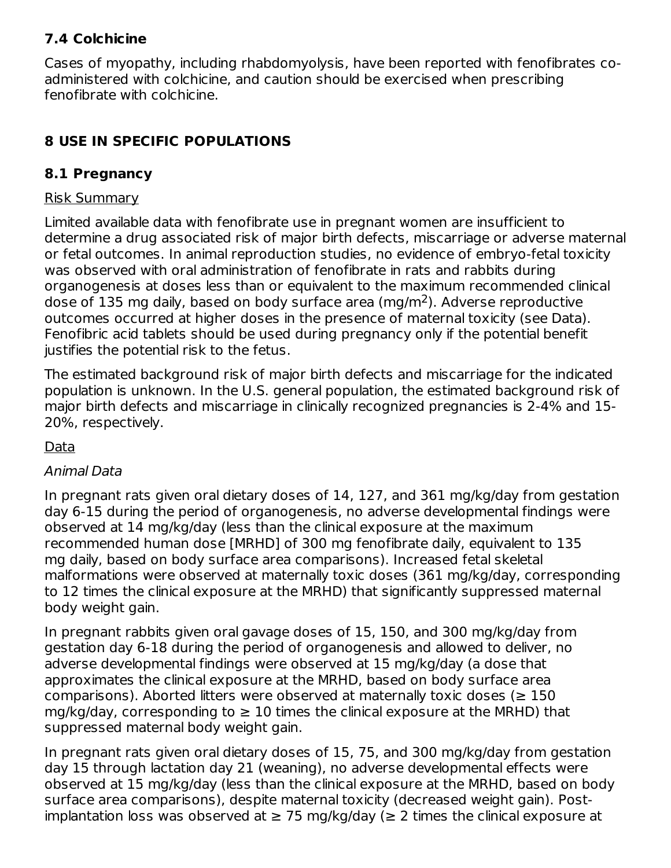#### **7.4 Colchicine**

Cases of myopathy, including rhabdomyolysis, have been reported with fenofibrates coadministered with colchicine, and caution should be exercised when prescribing fenofibrate with colchicine.

### **8 USE IN SPECIFIC POPULATIONS**

### **8.1 Pregnancy**

#### Risk Summary

Limited available data with fenofibrate use in pregnant women are insufficient to determine a drug associated risk of major birth defects, miscarriage or adverse maternal or fetal outcomes. In animal reproduction studies, no evidence of embryo-fetal toxicity was observed with oral administration of fenofibrate in rats and rabbits during organogenesis at doses less than or equivalent to the maximum recommended clinical dose of 135 mg daily, based on body surface area (mg/m<sup>2</sup>). Adverse reproductive outcomes occurred at higher doses in the presence of maternal toxicity (see Data). Fenofibric acid tablets should be used during pregnancy only if the potential benefit justifies the potential risk to the fetus.

The estimated background risk of major birth defects and miscarriage for the indicated population is unknown. In the U.S. general population, the estimated background risk of major birth defects and miscarriage in clinically recognized pregnancies is 2-4% and 15- 20%, respectively.

### Data

### Animal Data

In pregnant rats given oral dietary doses of 14, 127, and 361 mg/kg/day from gestation day 6-15 during the period of organogenesis, no adverse developmental findings were observed at 14 mg/kg/day (less than the clinical exposure at the maximum recommended human dose [MRHD] of 300 mg fenofibrate daily, equivalent to 135 mg daily, based on body surface area comparisons). Increased fetal skeletal malformations were observed at maternally toxic doses (361 mg/kg/day, corresponding to 12 times the clinical exposure at the MRHD) that significantly suppressed maternal body weight gain.

In pregnant rabbits given oral gavage doses of 15, 150, and 300 mg/kg/day from gestation day 6-18 during the period of organogenesis and allowed to deliver, no adverse developmental findings were observed at 15 mg/kg/day (a dose that approximates the clinical exposure at the MRHD, based on body surface area comparisons). Aborted litters were observed at maternally toxic doses ( $\geq 150$ mg/kg/day, corresponding to  $\geq 10$  times the clinical exposure at the MRHD) that suppressed maternal body weight gain.

In pregnant rats given oral dietary doses of 15, 75, and 300 mg/kg/day from gestation day 15 through lactation day 21 (weaning), no adverse developmental effects were observed at 15 mg/kg/day (less than the clinical exposure at the MRHD, based on body surface area comparisons), despite maternal toxicity (decreased weight gain). Postimplantation loss was observed at  $\geq$  75 mg/kg/day ( $\geq$  2 times the clinical exposure at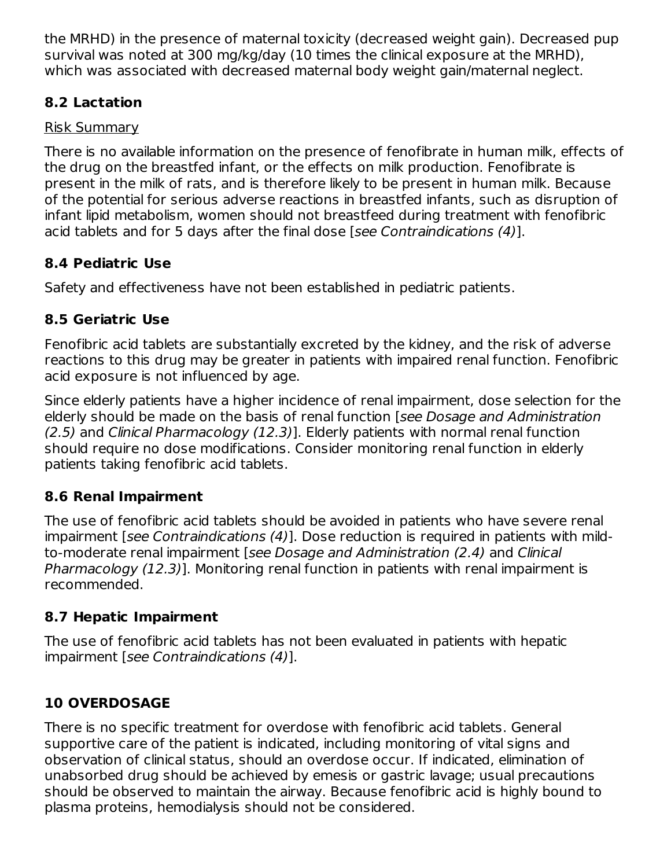the MRHD) in the presence of maternal toxicity (decreased weight gain). Decreased pup survival was noted at 300 mg/kg/day (10 times the clinical exposure at the MRHD), which was associated with decreased maternal body weight gain/maternal neglect.

### **8.2 Lactation**

#### Risk Summary

There is no available information on the presence of fenofibrate in human milk, effects of the drug on the breastfed infant, or the effects on milk production. Fenofibrate is present in the milk of rats, and is therefore likely to be present in human milk. Because of the potential for serious adverse reactions in breastfed infants, such as disruption of infant lipid metabolism, women should not breastfeed during treatment with fenofibric acid tablets and for 5 days after the final dose [see Contraindications (4)].

## **8.4 Pediatric Use**

Safety and effectiveness have not been established in pediatric patients.

## **8.5 Geriatric Use**

Fenofibric acid tablets are substantially excreted by the kidney, and the risk of adverse reactions to this drug may be greater in patients with impaired renal function. Fenofibric acid exposure is not influenced by age.

Since elderly patients have a higher incidence of renal impairment, dose selection for the elderly should be made on the basis of renal function [see Dosage and Administration (2.5) and Clinical Pharmacology (12.3)]. Elderly patients with normal renal function should require no dose modifications. Consider monitoring renal function in elderly patients taking fenofibric acid tablets.

### **8.6 Renal Impairment**

The use of fenofibric acid tablets should be avoided in patients who have severe renal impairment [see Contraindications (4)]. Dose reduction is required in patients with mildto-moderate renal impairment [see Dosage and Administration (2.4) and Clinical Pharmacology (12.3)]. Monitoring renal function in patients with renal impairment is recommended.

### **8.7 Hepatic Impairment**

The use of fenofibric acid tablets has not been evaluated in patients with hepatic impairment [see Contraindications (4)].

# **10 OVERDOSAGE**

There is no specific treatment for overdose with fenofibric acid tablets. General supportive care of the patient is indicated, including monitoring of vital signs and observation of clinical status, should an overdose occur. If indicated, elimination of unabsorbed drug should be achieved by emesis or gastric lavage; usual precautions should be observed to maintain the airway. Because fenofibric acid is highly bound to plasma proteins, hemodialysis should not be considered.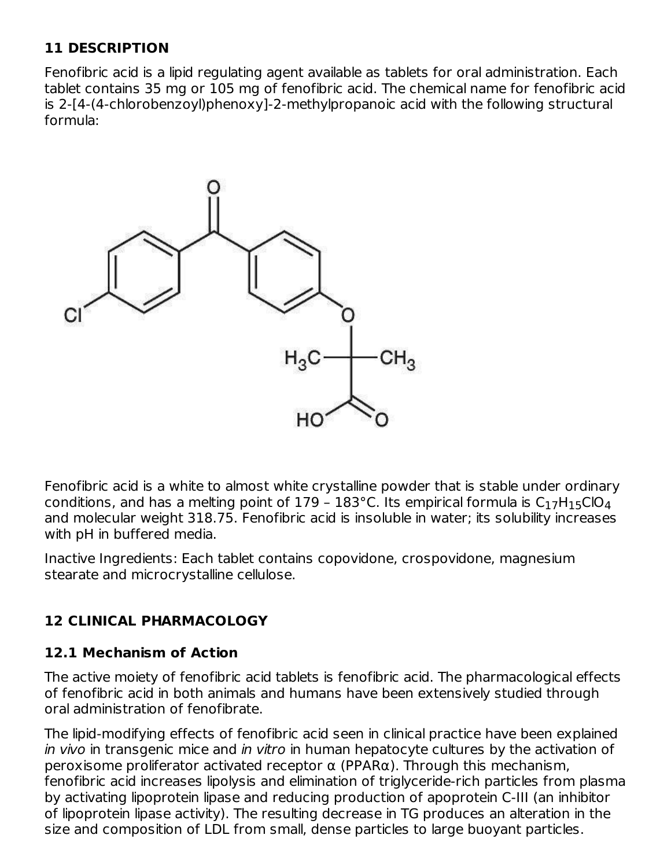#### **11 DESCRIPTION**

Fenofibric acid is a lipid regulating agent available as tablets for oral administration. Each tablet contains 35 mg or 105 mg of fenofibric acid. The chemical name for fenofibric acid is 2-[4-(4-chlorobenzoyl)phenoxy]-2-methylpropanoic acid with the following structural formula:



Fenofibric acid is a white to almost white crystalline powder that is stable under ordinary conditions, and has a melting point of 179 – 183°C. Its empirical formula is  $\mathsf{C}_1$ 7H $_1$ 5<code>ClO $_4$ </code> and molecular weight 318.75. Fenofibric acid is insoluble in water; its solubility increases with pH in buffered media.

Inactive Ingredients: Each tablet contains copovidone, crospovidone, magnesium stearate and microcrystalline cellulose.

### **12 CLINICAL PHARMACOLOGY**

#### **12.1 Mechanism of Action**

The active moiety of fenofibric acid tablets is fenofibric acid. The pharmacological effects of fenofibric acid in both animals and humans have been extensively studied through oral administration of fenofibrate.

The lipid-modifying effects of fenofibric acid seen in clinical practice have been explained in vivo in transgenic mice and in vitro in human hepatocyte cultures by the activation of peroxisome proliferator activated receptor α (PPARα). Through this mechanism, fenofibric acid increases lipolysis and elimination of triglyceride-rich particles from plasma by activating lipoprotein lipase and reducing production of apoprotein C-III (an inhibitor of lipoprotein lipase activity). The resulting decrease in TG produces an alteration in the size and composition of LDL from small, dense particles to large buoyant particles.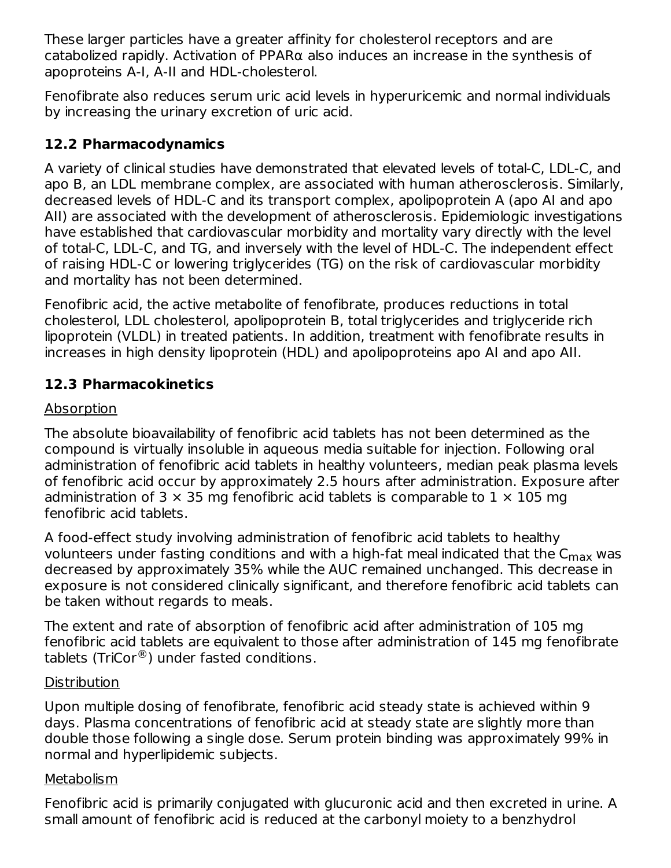These larger particles have a greater affinity for cholesterol receptors and are catabolized rapidly. Activation of PPAR $\alpha$  also induces an increase in the synthesis of apoproteins A-I, A-II and HDL-cholesterol.

Fenofibrate also reduces serum uric acid levels in hyperuricemic and normal individuals by increasing the urinary excretion of uric acid.

#### **12.2 Pharmacodynamics**

A variety of clinical studies have demonstrated that elevated levels of total-C, LDL-C, and apo B, an LDL membrane complex, are associated with human atherosclerosis. Similarly, decreased levels of HDL-C and its transport complex, apolipoprotein A (apo AI and apo AII) are associated with the development of atherosclerosis. Epidemiologic investigations have established that cardiovascular morbidity and mortality vary directly with the level of total-C, LDL-C, and TG, and inversely with the level of HDL-C. The independent effect of raising HDL-C or lowering triglycerides (TG) on the risk of cardiovascular morbidity and mortality has not been determined.

Fenofibric acid, the active metabolite of fenofibrate, produces reductions in total cholesterol, LDL cholesterol, apolipoprotein B, total triglycerides and triglyceride rich lipoprotein (VLDL) in treated patients. In addition, treatment with fenofibrate results in increases in high density lipoprotein (HDL) and apolipoproteins apo AI and apo AII.

### **12.3 Pharmacokinetics**

#### Absorption

The absolute bioavailability of fenofibric acid tablets has not been determined as the compound is virtually insoluble in aqueous media suitable for injection. Following oral administration of fenofibric acid tablets in healthy volunteers, median peak plasma levels of fenofibric acid occur by approximately 2.5 hours after administration. Exposure after administration of 3  $\times$  35 mg fenofibric acid tablets is comparable to 1  $\times$  105 mg fenofibric acid tablets.

A food-effect study involving administration of fenofibric acid tablets to healthy volunteers under fasting conditions and with a high-fat meal indicated that the  ${\sf C}_{\sf max}$  was decreased by approximately 35% while the AUC remained unchanged. This decrease in exposure is not considered clinically significant, and therefore fenofibric acid tablets can be taken without regards to meals.

The extent and rate of absorption of fenofibric acid after administration of 105 mg fenofibric acid tablets are equivalent to those after administration of 145 mg fenofibrate tablets (TriCor $^{\circledR}$ ) under fasted conditions.

#### **Distribution**

Upon multiple dosing of fenofibrate, fenofibric acid steady state is achieved within 9 days. Plasma concentrations of fenofibric acid at steady state are slightly more than double those following a single dose. Serum protein binding was approximately 99% in normal and hyperlipidemic subjects.

#### **Metabolism**

Fenofibric acid is primarily conjugated with glucuronic acid and then excreted in urine. A small amount of fenofibric acid is reduced at the carbonyl moiety to a benzhydrol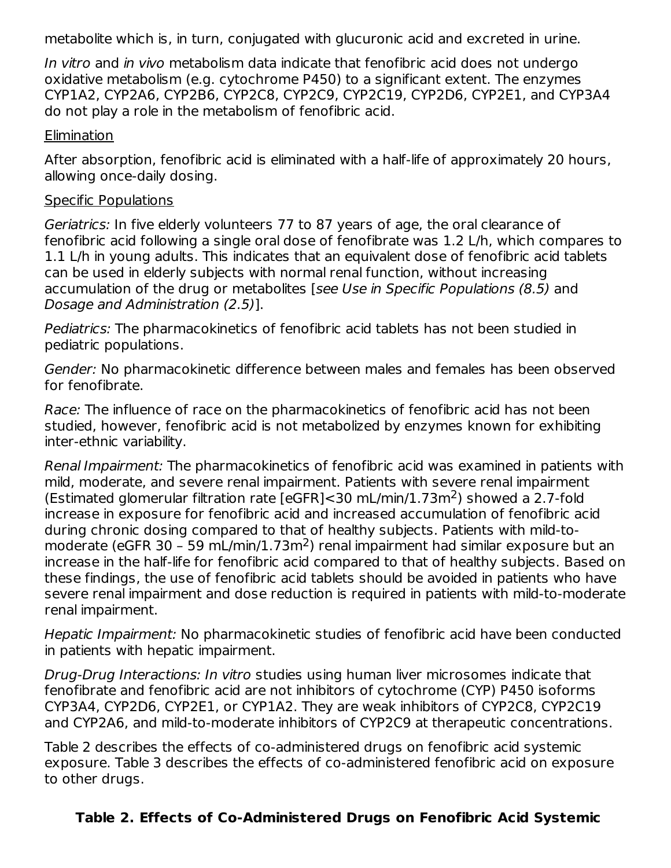metabolite which is, in turn, conjugated with glucuronic acid and excreted in urine.

In vitro and in vivo metabolism data indicate that fenofibric acid does not undergo oxidative metabolism (e.g. cytochrome P450) to a significant extent. The enzymes CYP1A2, CYP2A6, CYP2B6, CYP2C8, CYP2C9, CYP2C19, CYP2D6, CYP2E1, and CYP3A4 do not play a role in the metabolism of fenofibric acid.

#### **Elimination**

After absorption, fenofibric acid is eliminated with a half-life of approximately 20 hours, allowing once-daily dosing.

#### Specific Populations

Geriatrics: In five elderly volunteers 77 to 87 years of age, the oral clearance of fenofibric acid following a single oral dose of fenofibrate was 1.2 L/h, which compares to 1.1 L/h in young adults. This indicates that an equivalent dose of fenofibric acid tablets can be used in elderly subjects with normal renal function, without increasing accumulation of the drug or metabolites [see Use in Specific Populations (8.5) and Dosage and Administration (2.5)].

Pediatrics: The pharmacokinetics of fenofibric acid tablets has not been studied in pediatric populations.

Gender: No pharmacokinetic difference between males and females has been observed for fenofibrate.

Race: The influence of race on the pharmacokinetics of fenofibric acid has not been studied, however, fenofibric acid is not metabolized by enzymes known for exhibiting inter-ethnic variability.

Renal Impairment: The pharmacokinetics of fenofibric acid was examined in patients with mild, moderate, and severe renal impairment. Patients with severe renal impairment (Estimated glomerular filtration rate [eGFR]<30 mL/min/1.73m<sup>2</sup>) showed a 2.7-fold increase in exposure for fenofibric acid and increased accumulation of fenofibric acid during chronic dosing compared to that of healthy subjects. Patients with mild-tomoderate (eGFR 30 - 59 mL/min/1.73m<sup>2</sup>) renal impairment had similar exposure but an increase in the half-life for fenofibric acid compared to that of healthy subjects. Based on these findings, the use of fenofibric acid tablets should be avoided in patients who have severe renal impairment and dose reduction is required in patients with mild-to-moderate renal impairment.

Hepatic Impairment: No pharmacokinetic studies of fenofibric acid have been conducted in patients with hepatic impairment.

Drug-Drug Interactions: In vitro studies using human liver microsomes indicate that fenofibrate and fenofibric acid are not inhibitors of cytochrome (CYP) P450 isoforms CYP3A4, CYP2D6, CYP2E1, or CYP1A2. They are weak inhibitors of CYP2C8, CYP2C19 and CYP2A6, and mild-to-moderate inhibitors of CYP2C9 at therapeutic concentrations.

Table 2 describes the effects of co-administered drugs on fenofibric acid systemic exposure. Table 3 describes the effects of co-administered fenofibric acid on exposure to other drugs.

### **Table 2. Effects of Co-Administered Drugs on Fenofibric Acid Systemic**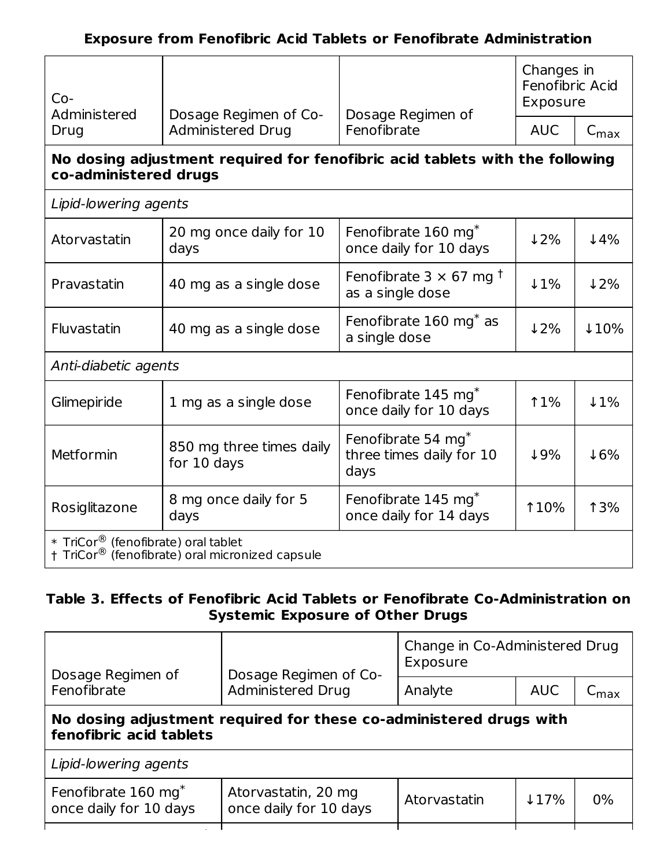| $Co-$<br>Administered                                                                                 | Dosage Regimen of Co-                                                                      | Dosage Regimen of                                             | Changes in<br>Fenofibric Acid<br>Exposure |                  |  |  |  |
|-------------------------------------------------------------------------------------------------------|--------------------------------------------------------------------------------------------|---------------------------------------------------------------|-------------------------------------------|------------------|--|--|--|
| Drug                                                                                                  | <b>Administered Drug</b>                                                                   | Fenofibrate                                                   | <b>AUC</b>                                | $C_{\text{max}}$ |  |  |  |
| No dosing adjustment required for fenofibric acid tablets with the following<br>co-administered drugs |                                                                                            |                                                               |                                           |                  |  |  |  |
| Lipid-lowering agents                                                                                 |                                                                                            |                                                               |                                           |                  |  |  |  |
| Atorvastatin                                                                                          | 20 mg once daily for 10<br>days                                                            | Fenofibrate 160 mg <sup>*</sup><br>once daily for 10 days     | 12%                                       | $4\%$            |  |  |  |
| Pravastatin                                                                                           | 40 mg as a single dose                                                                     | Fenofibrate 3 $\times$ 67 mg <sup>†</sup><br>as a single dose | $\downarrow$ 1%                           | 12%              |  |  |  |
| Fluvastatin                                                                                           | Fenofibrate $160 \text{ mg}^*$ as<br>40 mg as a single dose<br>a single dose               |                                                               | 12%                                       | 110%             |  |  |  |
| Anti-diabetic agents                                                                                  |                                                                                            |                                                               |                                           |                  |  |  |  |
| Glimepiride                                                                                           | 1 mg as a single dose                                                                      | Fenofibrate 145 mg <sup>*</sup><br>once daily for 10 days     | <b>11%</b>                                | $1\%$            |  |  |  |
| Metformin                                                                                             | 850 mg three times daily<br>for 10 days                                                    | Fenofibrate 54 mg*<br>three times daily for 10<br>days        | 19%                                       | 16%              |  |  |  |
| Rosiglitazone                                                                                         | Fenofibrate 145 mg <sup>*</sup><br>8 mg once daily for 5<br>once daily for 14 days<br>days |                                                               | <b>110%</b>                               | <b>13%</b>       |  |  |  |
| * TriCor <sup>®</sup> (fenofibrate) oral tablet                                                       | † TriCor® (fenofibrate) oral micronized capsule                                            |                                                               |                                           |                  |  |  |  |

#### **Table 3. Effects of Fenofibric Acid Tablets or Fenofibrate Co-Administration on Systemic Exposure of Other Drugs**

|                                                                                               | Change in Co-Administered Drug<br>Exposure |            |                  |  |  |  |  |
|-----------------------------------------------------------------------------------------------|--------------------------------------------|------------|------------------|--|--|--|--|
| Dosage Regimen of<br>Administered Drug<br>Fenofibrate                                         |                                            | <b>AUC</b> | $\mathsf{cm}$ ax |  |  |  |  |
| No dosing adjustment required for these co-administered drugs with<br>fenofibric acid tablets |                                            |            |                  |  |  |  |  |
| Lipid-lowering agents                                                                         |                                            |            |                  |  |  |  |  |
| Atorvastatin, 20 mg<br>once daily for 10 days                                                 | Atorvastatin                               | 117%       | $0\%$            |  |  |  |  |
|                                                                                               | Dosage Regimen of Co-                      | Analyte    |                  |  |  |  |  |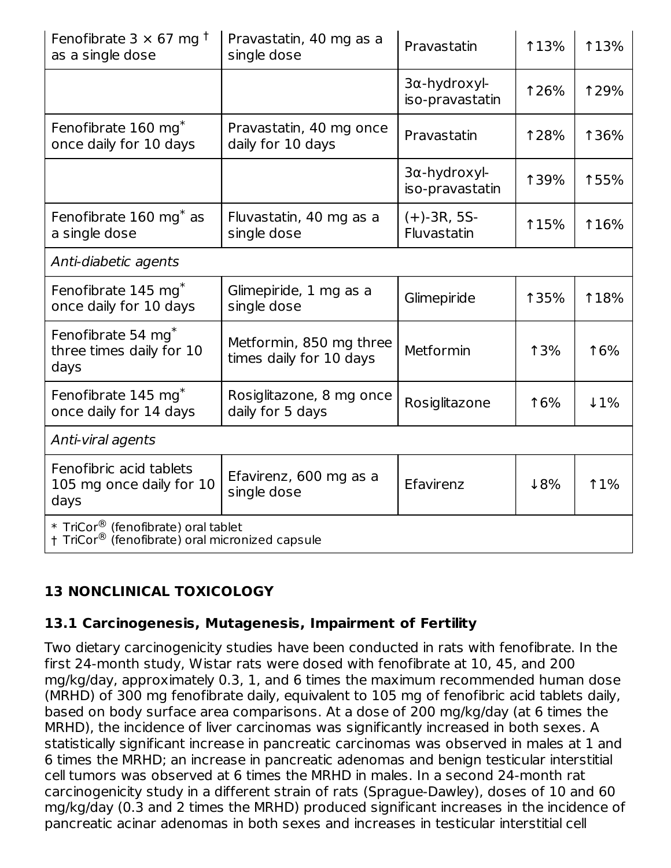| Fenofibrate $3 \times 67$ mg <sup>†</sup><br>as a single dose                                      | Pravastatin, 40 mg as a<br>single dose             | Pravastatin                     | <b>13%</b>  | <b>13%</b>  |
|----------------------------------------------------------------------------------------------------|----------------------------------------------------|---------------------------------|-------------|-------------|
|                                                                                                    |                                                    | 3a-hydroxyl-<br>iso-pravastatin | <b>126%</b> | <b>129%</b> |
| Fenofibrate 160 mg <sup>*</sup><br>once daily for 10 days                                          | Pravastatin, 40 mg once<br>daily for 10 days       | Pravastatin                     | <b>128%</b> | <b>136%</b> |
|                                                                                                    |                                                    | 3α-hydroxyl-<br>iso-pravastatin | <b>139%</b> | 155%        |
| Fenofibrate 160 mg <sup>*</sup> as<br>a single dose                                                | Fluvastatin, 40 mg as a<br>single dose             | $(+)$ -3R, 5S-<br>Fluvastatin   | <b>115%</b> | <b>116%</b> |
| Anti-diabetic agents                                                                               |                                                    |                                 |             |             |
| Fenofibrate 145 mg <sup>*</sup><br>once daily for 10 days                                          | Glimepiride, 1 mg as a<br>single dose              | Glimepiride                     | <b>135%</b> | <b>18%</b>  |
| Fenofibrate 54 mg*<br>three times daily for 10<br>days                                             | Metformin, 850 mg three<br>times daily for 10 days | Metformin                       | <b>13%</b>  | 16%         |
| Fenofibrate 145 mg*<br>once daily for 14 days                                                      | Rosiglitazone, 8 mg once<br>daily for 5 days       | Rosiglitazone                   | 16%         | $1\%$       |
| Anti-viral agents                                                                                  |                                                    |                                 |             |             |
| Fenofibric acid tablets<br>105 mg once daily for 10<br>days                                        | Efavirenz, 600 mg as a<br>single dose              | Efavirenz                       | 18%         | $1\%$       |
| * TriCor <sup>®</sup> (fenofibrate) oral tablet<br>† TriCor® (fenofibrate) oral micronized capsule |                                                    |                                 |             |             |

### **13 NONCLINICAL TOXICOLOGY**

#### **13.1 Carcinogenesis, Mutagenesis, Impairment of Fertility**

Two dietary carcinogenicity studies have been conducted in rats with fenofibrate. In the first 24-month study, Wistar rats were dosed with fenofibrate at 10, 45, and 200 mg/kg/day, approximately 0.3, 1, and 6 times the maximum recommended human dose (MRHD) of 300 mg fenofibrate daily, equivalent to 105 mg of fenofibric acid tablets daily, based on body surface area comparisons. At a dose of 200 mg/kg/day (at 6 times the MRHD), the incidence of liver carcinomas was significantly increased in both sexes. A statistically significant increase in pancreatic carcinomas was observed in males at 1 and 6 times the MRHD; an increase in pancreatic adenomas and benign testicular interstitial cell tumors was observed at 6 times the MRHD in males. In a second 24-month rat carcinogenicity study in a different strain of rats (Sprague-Dawley), doses of 10 and 60 mg/kg/day (0.3 and 2 times the MRHD) produced significant increases in the incidence of pancreatic acinar adenomas in both sexes and increases in testicular interstitial cell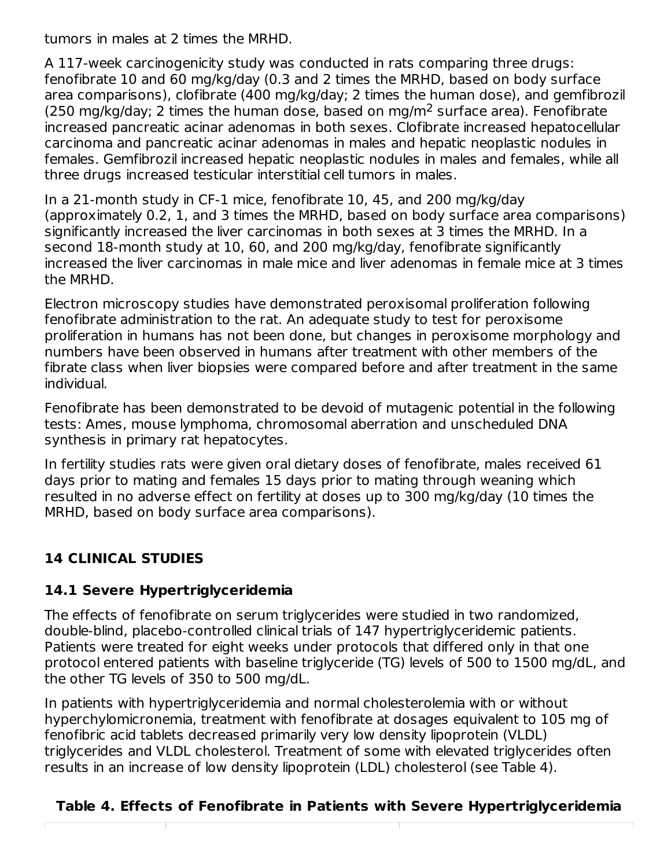tumors in males at 2 times the MRHD.

A 117-week carcinogenicity study was conducted in rats comparing three drugs: fenofibrate 10 and 60 mg/kg/day (0.3 and 2 times the MRHD, based on body surface area comparisons), clofibrate (400 mg/kg/day; 2 times the human dose), and gemfibrozil (250 mg/kg/day; 2 times the human dose, based on mg/m<sup>2</sup> surface area). Fenofibrate increased pancreatic acinar adenomas in both sexes. Clofibrate increased hepatocellular carcinoma and pancreatic acinar adenomas in males and hepatic neoplastic nodules in females. Gemfibrozil increased hepatic neoplastic nodules in males and females, while all three drugs increased testicular interstitial cell tumors in males.

In a 21-month study in CF-1 mice, fenofibrate 10, 45, and 200 mg/kg/day (approximately 0.2, 1, and 3 times the MRHD, based on body surface area comparisons) significantly increased the liver carcinomas in both sexes at 3 times the MRHD. In a second 18-month study at 10, 60, and 200 mg/kg/day, fenofibrate significantly increased the liver carcinomas in male mice and liver adenomas in female mice at 3 times the MRHD.

Electron microscopy studies have demonstrated peroxisomal proliferation following fenofibrate administration to the rat. An adequate study to test for peroxisome proliferation in humans has not been done, but changes in peroxisome morphology and numbers have been observed in humans after treatment with other members of the fibrate class when liver biopsies were compared before and after treatment in the same individual.

Fenofibrate has been demonstrated to be devoid of mutagenic potential in the following tests: Ames, mouse lymphoma, chromosomal aberration and unscheduled DNA synthesis in primary rat hepatocytes.

In fertility studies rats were given oral dietary doses of fenofibrate, males received 61 days prior to mating and females 15 days prior to mating through weaning which resulted in no adverse effect on fertility at doses up to 300 mg/kg/day (10 times the MRHD, based on body surface area comparisons).

## **14 CLINICAL STUDIES**

### **14.1 Severe Hypertriglyceridemia**

The effects of fenofibrate on serum triglycerides were studied in two randomized, double-blind, placebo-controlled clinical trials of 147 hypertriglyceridemic patients. Patients were treated for eight weeks under protocols that differed only in that one protocol entered patients with baseline triglyceride (TG) levels of 500 to 1500 mg/dL, and the other TG levels of 350 to 500 mg/dL.

In patients with hypertriglyceridemia and normal cholesterolemia with or without hyperchylomicronemia, treatment with fenofibrate at dosages equivalent to 105 mg of fenofibric acid tablets decreased primarily very low density lipoprotein (VLDL) triglycerides and VLDL cholesterol. Treatment of some with elevated triglycerides often results in an increase of low density lipoprotein (LDL) cholesterol (see Table 4).

### **Table 4. Effects of Fenofibrate in Patients with Severe Hypertriglyceridemia**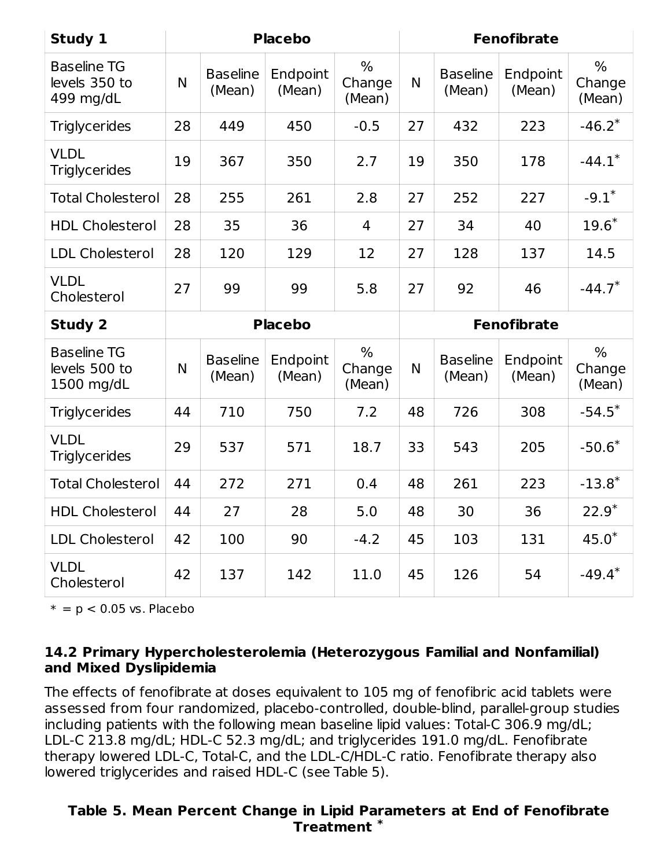| Study 1                                           |    |                           | <b>Placebo</b>     |                                   | <b>Fenofibrate</b> |                           |                    |                          |
|---------------------------------------------------|----|---------------------------|--------------------|-----------------------------------|--------------------|---------------------------|--------------------|--------------------------|
| <b>Baseline TG</b><br>levels 350 to<br>499 mg/dL  | N  | <b>Baseline</b><br>(Mean) | Endpoint<br>(Mean) | $\%$<br>Change<br>(Mean)          | N.                 | <b>Baseline</b><br>(Mean) | Endpoint<br>(Mean) | $\%$<br>Change<br>(Mean) |
| <b>Triglycerides</b>                              | 28 | 449                       | 450                | $-0.5$                            | 27                 | 432                       | 223                | $-46.2*$                 |
| <b>VLDL</b><br><b>Triglycerides</b>               | 19 | 367                       | 350                | 2.7                               | 19                 | 350                       | 178                | $-44.1*$                 |
| <b>Total Cholesterol</b>                          | 28 | 255                       | 261                | 2.8                               | 27                 | 252                       | 227                | $-9.1*$                  |
| <b>HDL Cholesterol</b>                            | 28 | 35                        | 36                 | 4                                 | 27                 | 34                        | 40                 | $19.6*$                  |
| <b>LDL Cholesterol</b>                            | 28 | 120                       | 129                | 12                                | 27                 | 128                       | 137                | 14.5                     |
| <b>VLDL</b><br>Cholesterol                        | 27 | 99                        | 99                 | 5.8                               | 27                 | 92                        | 46                 | $-44.7*$                 |
|                                                   |    |                           |                    |                                   | <b>Fenofibrate</b> |                           |                    |                          |
| <b>Study 2</b>                                    |    |                           | <b>Placebo</b>     |                                   |                    |                           |                    |                          |
| <b>Baseline TG</b><br>levels 500 to<br>1500 mg/dL | N  | <b>Baseline</b><br>(Mean) | Endpoint<br>(Mean) | $\frac{0}{0}$<br>Change<br>(Mean) | N                  | <b>Baseline</b><br>(Mean) | Endpoint<br>(Mean) | $\%$<br>Change<br>(Mean) |
| <b>Triglycerides</b>                              | 44 | 710                       | 750                | 7.2                               | 48                 | 726                       | 308                | $-54.5*$                 |
| <b>VLDL</b><br><b>Triglycerides</b>               | 29 | 537                       | 571                | 18.7                              | 33                 | 543                       | 205                | $-50.6*$                 |
| <b>Total Cholesterol</b>                          | 44 | 272                       | 271                | 0.4                               | 48                 | 261                       | 223                | $-13.8*$                 |
| <b>HDL Cholesterol</b>                            | 44 | 27                        | 28                 | 5.0                               | 48                 | 30                        | 36                 | $22.9*$                  |
| <b>LDL Cholesterol</b>                            | 42 | 100                       | 90                 | $-4.2$                            | 45                 | 103                       | 131                | $45.0*$                  |

 $* = p < 0.05$  vs. Placebo

#### **14.2 Primary Hypercholesterolemia (Heterozygous Familial and Nonfamilial) and Mixed Dyslipidemia**

The effects of fenofibrate at doses equivalent to 105 mg of fenofibric acid tablets were assessed from four randomized, placebo-controlled, double-blind, parallel-group studies including patients with the following mean baseline lipid values: Total-C 306.9 mg/dL; LDL-C 213.8 mg/dL; HDL-C 52.3 mg/dL; and triglycerides 191.0 mg/dL. Fenofibrate therapy lowered LDL-C, Total-C, and the LDL-C/HDL-C ratio. Fenofibrate therapy also lowered triglycerides and raised HDL-C (see Table 5).

#### **Table 5. Mean Percent Change in Lipid Parameters at End of Fenofibrate Treatment \***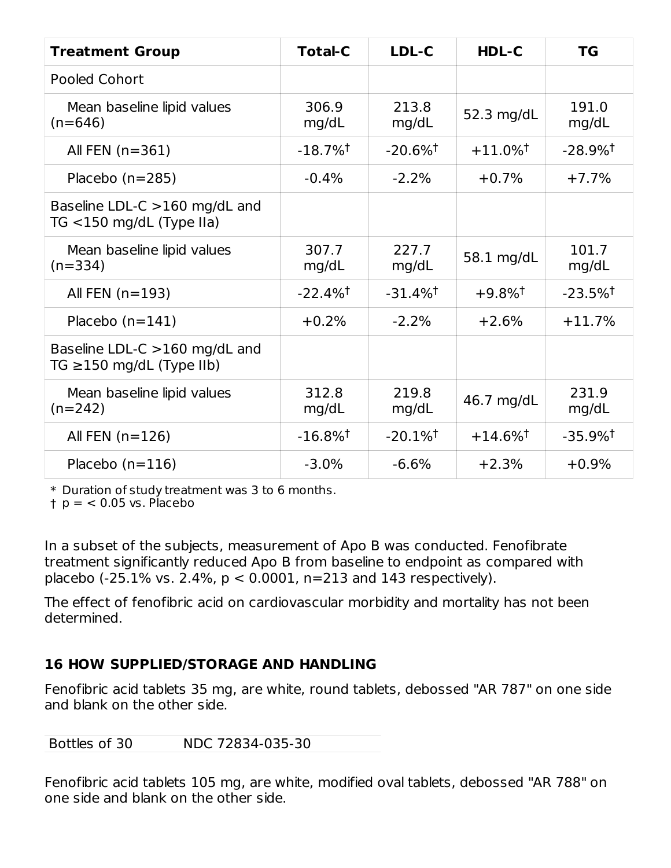| <b>Treatment Group</b>                                            | <b>Total-C</b>         | LDL-C                  | HDL-C                  | <b>TG</b>              |
|-------------------------------------------------------------------|------------------------|------------------------|------------------------|------------------------|
| <b>Pooled Cohort</b>                                              |                        |                        |                        |                        |
| Mean baseline lipid values<br>$(n=646)$                           | 306.9<br>mg/dL         | 213.8<br>mg/dL         | 52.3 mg/dL             | 191.0<br>mg/dL         |
| All FEN $(n=361)$                                                 | $-18.7\%$ <sup>†</sup> | $-20.6\%$ <sup>†</sup> | $+11.0\%$ <sup>†</sup> | $-28.9\%$ <sup>†</sup> |
| Placebo $(n=285)$                                                 | $-0.4%$                | $-2.2%$                | $+0.7%$                | $+7.7%$                |
| Baseline LDL-C >160 mg/dL and<br>TG $<$ 150 mg/dL (Type IIa)      |                        |                        |                        |                        |
| Mean baseline lipid values<br>$(n=334)$                           | 307.7<br>mg/dL         | 227.7<br>mg/dL         | 58.1 mg/dL             | 101.7<br>mg/dL         |
| All FEN $(n=193)$                                                 | $-22.4\%$ <sup>†</sup> | $-31.4\%$ <sup>†</sup> | $+9.8\%$ <sup>†</sup>  | $-23.5\%$ <sup>†</sup> |
| Placebo $(n=141)$                                                 | $+0.2%$                | $-2.2%$                | $+2.6%$                | $+11.7%$               |
| Baseline LDL-C $>160$ mg/dL and<br>TG $\geq$ 150 mg/dL (Type IIb) |                        |                        |                        |                        |
| Mean baseline lipid values<br>$(n=242)$                           | 312.8<br>mg/dL         | 219.8<br>mg/dL         | 46.7 mg/dL             | 231.9<br>mg/dL         |
| All FEN $(n=126)$                                                 | $-16.8\%$ <sup>†</sup> | $-20.1\%$ <sup>†</sup> | $+14.6\%$ <sup>†</sup> | $-35.9\%$ <sup>†</sup> |
| Placebo $(n=116)$                                                 | $-3.0%$                | $-6.6%$                | $+2.3%$                | $+0.9%$                |

\* Duration of study treatment was 3 to 6 months.

† p = < 0.05 vs. Placebo

In a subset of the subjects, measurement of Apo B was conducted. Fenofibrate treatment significantly reduced Apo B from baseline to endpoint as compared with placebo (-25.1% vs. 2.4%,  $p < 0.0001$ , n=213 and 143 respectively).

The effect of fenofibric acid on cardiovascular morbidity and mortality has not been determined.

#### **16 HOW SUPPLIED/STORAGE AND HANDLING**

Fenofibric acid tablets 35 mg, are white, round tablets, debossed "AR 787" on one side and blank on the other side.

| NDC 72834-035-30<br>Bottles of 30 |
|-----------------------------------|
|-----------------------------------|

Fenofibric acid tablets 105 mg, are white, modified oval tablets, debossed "AR 788" on one side and blank on the other side.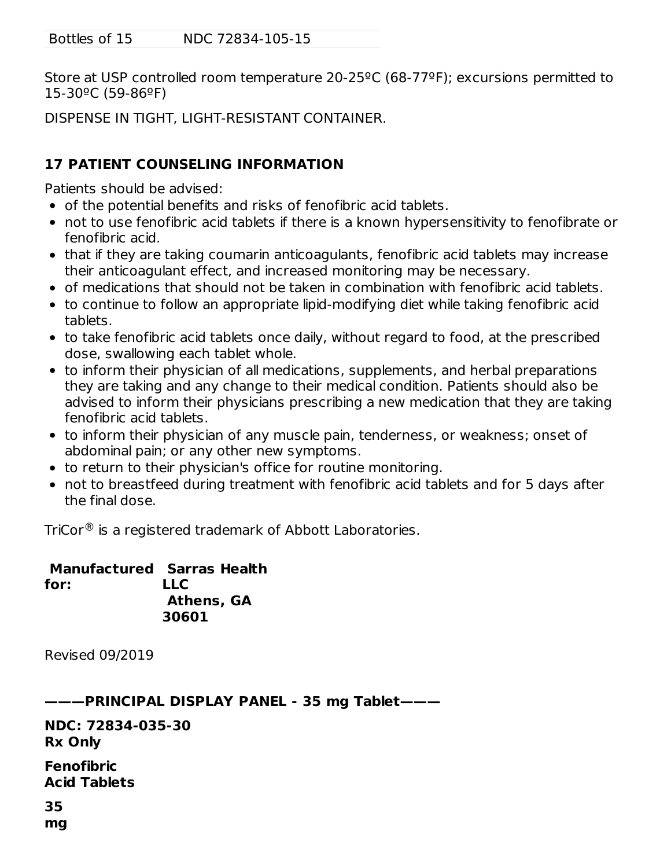Bottles of 15 NDC 72834-105-15

Store at USP controlled room temperature 20-25ºC (68-77ºF); excursions permitted to 15-30ºC (59-86ºF)

DISPENSE IN TIGHT, LIGHT-RESISTANT CONTAINER.

#### **17 PATIENT COUNSELING INFORMATION**

Patients should be advised:

- of the potential benefits and risks of fenofibric acid tablets.
- not to use fenofibric acid tablets if there is a known hypersensitivity to fenofibrate or fenofibric acid.
- that if they are taking coumarin anticoagulants, fenofibric acid tablets may increase their anticoagulant effect, and increased monitoring may be necessary.
- of medications that should not be taken in combination with fenofibric acid tablets.
- to continue to follow an appropriate lipid-modifying diet while taking fenofibric acid tablets.
- to take fenofibric acid tablets once daily, without regard to food, at the prescribed dose, swallowing each tablet whole.
- to inform their physician of all medications, supplements, and herbal preparations they are taking and any change to their medical condition. Patients should also be advised to inform their physicians prescribing a new medication that they are taking fenofibric acid tablets.
- to inform their physician of any muscle pain, tenderness, or weakness; onset of abdominal pain; or any other new symptoms.
- to return to their physician's office for routine monitoring.
- not to breastfeed during treatment with fenofibric acid tablets and for 5 days after the final dose.

TriCor $^\circledR$  is a registered trademark of Abbott Laboratories.

**Manufactured Sarras Health for: LLC Athens, GA 30601**

Revised 09/2019

**———PRINCIPAL DISPLAY PANEL - 35 mg Tablet———**

**NDC: 72834-035-30 Rx Only**

**Fenofibric Acid Tablets**

# **35**

**mg**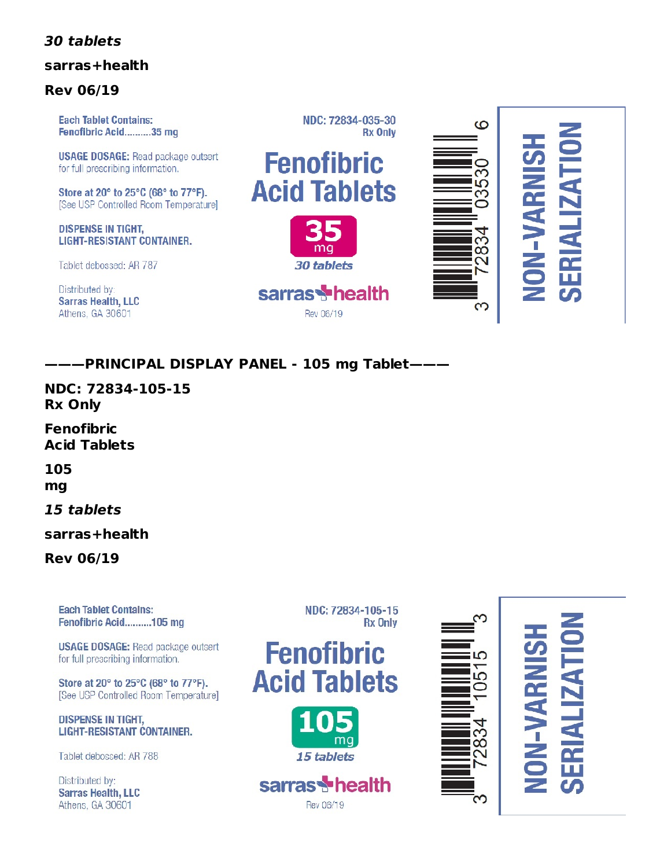#### **30 tablets**

#### **sarras+health**

#### **Rev 06/19**

**Each Tablet Contains:** Fenofibric Acid..........35 mg

**USAGE DOSAGE:** Read package outsert for full prescribing information.

Store at 20° to 25°C (68° to 77°F). [See USP Controlled Room Temperature]

**DISPENSE IN TIGHT, LIGHT-RESISTANT CONTAINER.** 

Tablet debossed: AR 787

Distributed by: **Sarras Health, LLC** Athens, GA 30601



NDC: 72834-035-30



sarras<sup>t</sup>health

Rev 06/19



## **———PRINCIPAL DISPLAY PANEL - 105 mg Tablet———**

**NDC: 72834-105-15 Rx Only**

**Fenofibric Acid Tablets**

**105 mg**

#### **15 tablets**

**sarras+health**

**Rev 06/19**

**Each Tablet Contains:** Fenofibric Acid..........105 mg

**USAGE DOSAGE:** Read package outsert for full prescribing information.

Store at 20° to 25°C (68° to 77°F). [See USP Controlled Room Temperature]

**DISPENSE IN TIGHT, LIGHT-RESISTANT CONTAINER.** 

Tablet debossed: AR 788

Distributed by: **Sarras Health, LLC** Athens, GA 30601









Rev 06/19



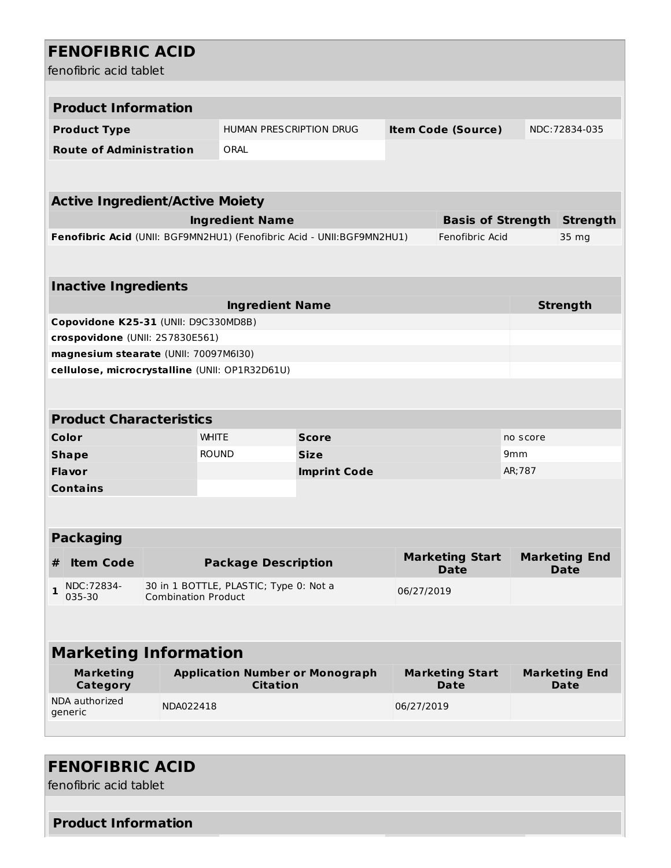# **FENOFIBRIC ACID**

fenofibric acid tablet

|   | fenofibric acid tablet                 |                            |                                                                         |                     |            |                                             |                 |                                     |  |  |
|---|----------------------------------------|----------------------------|-------------------------------------------------------------------------|---------------------|------------|---------------------------------------------|-----------------|-------------------------------------|--|--|
|   |                                        |                            |                                                                         |                     |            |                                             |                 |                                     |  |  |
|   | <b>Product Information</b>             |                            |                                                                         |                     |            |                                             |                 |                                     |  |  |
|   | <b>Product Type</b>                    |                            | HUMAN PRESCRIPTION DRUG                                                 |                     |            | <b>Item Code (Source)</b>                   |                 | NDC: 72834-035                      |  |  |
|   | <b>Route of Administration</b>         |                            | ORAL                                                                    |                     |            |                                             |                 |                                     |  |  |
|   |                                        |                            |                                                                         |                     |            |                                             |                 |                                     |  |  |
|   |                                        |                            |                                                                         |                     |            |                                             |                 |                                     |  |  |
|   | <b>Active Ingredient/Active Moiety</b> |                            |                                                                         |                     |            |                                             |                 |                                     |  |  |
|   |                                        |                            | <b>Ingredient Name</b>                                                  |                     |            | <b>Basis of Strength</b><br>Fenofibric Acid |                 | <b>Strength</b>                     |  |  |
|   |                                        |                            | Fenofibric Acid (UNII: BGF9MN2HU1) (Fenofibric Acid - UNII: BGF9MN2HU1) |                     |            |                                             |                 | 35 mg                               |  |  |
|   |                                        |                            |                                                                         |                     |            |                                             |                 |                                     |  |  |
|   | <b>Inactive Ingredients</b>            |                            |                                                                         |                     |            |                                             |                 |                                     |  |  |
|   |                                        |                            | <b>Ingredient Name</b>                                                  |                     |            |                                             |                 | <b>Strength</b>                     |  |  |
|   | Copovidone K25-31 (UNII: D9C330MD8B)   |                            |                                                                         |                     |            |                                             |                 |                                     |  |  |
|   | crospovidone (UNII: 2S7830E561)        |                            |                                                                         |                     |            |                                             |                 |                                     |  |  |
|   | magnesium stearate (UNII: 70097M6I30)  |                            |                                                                         |                     |            |                                             |                 |                                     |  |  |
|   |                                        |                            | cellulose, microcrystalline (UNII: OP1R32D61U)                          |                     |            |                                             |                 |                                     |  |  |
|   |                                        |                            |                                                                         |                     |            |                                             |                 |                                     |  |  |
|   | <b>Product Characteristics</b>         |                            |                                                                         |                     |            |                                             |                 |                                     |  |  |
|   | Color                                  |                            | <b>WHITE</b>                                                            | <b>Score</b>        |            |                                             | no score        |                                     |  |  |
|   | <b>Shape</b>                           |                            | <b>ROUND</b>                                                            | <b>Size</b>         |            |                                             | 9 <sub>mm</sub> |                                     |  |  |
|   | Flavor                                 |                            |                                                                         | <b>Imprint Code</b> |            |                                             | AR; 787         |                                     |  |  |
|   | <b>Contains</b>                        |                            |                                                                         |                     |            |                                             |                 |                                     |  |  |
|   |                                        |                            |                                                                         |                     |            |                                             |                 |                                     |  |  |
|   |                                        |                            |                                                                         |                     |            |                                             |                 |                                     |  |  |
|   | <b>Packaging</b>                       |                            |                                                                         |                     |            |                                             |                 |                                     |  |  |
| # | <b>Item Code</b>                       |                            | <b>Package Description</b>                                              |                     |            | <b>Marketing Start</b><br><b>Date</b>       |                 | <b>Marketing End</b><br><b>Date</b> |  |  |
| 1 | NDC: 72834-<br>035-30                  | <b>Combination Product</b> | 30 in 1 BOTTLE, PLASTIC; Type 0: Not a                                  |                     | 06/27/2019 |                                             |                 |                                     |  |  |
|   |                                        |                            |                                                                         |                     |            |                                             |                 |                                     |  |  |
|   |                                        |                            |                                                                         |                     |            |                                             |                 |                                     |  |  |
|   | <b>Marketing Information</b>           |                            |                                                                         |                     |            |                                             |                 |                                     |  |  |
|   | <b>Marketing</b>                       |                            | <b>Application Number or Monograph</b>                                  |                     |            | <b>Marketing Start</b>                      |                 | <b>Marketing End</b>                |  |  |
|   | Category                               |                            | <b>Citation</b>                                                         |                     |            | <b>Date</b>                                 |                 | <b>Date</b>                         |  |  |
|   | NDA authorized<br>generic              | NDA022418                  |                                                                         |                     | 06/27/2019 |                                             |                 |                                     |  |  |
|   |                                        |                            |                                                                         |                     |            |                                             |                 |                                     |  |  |
|   |                                        |                            |                                                                         |                     |            |                                             |                 |                                     |  |  |

# **FENOFIBRIC ACID**

fenofibric acid tablet

#### **Product Information**